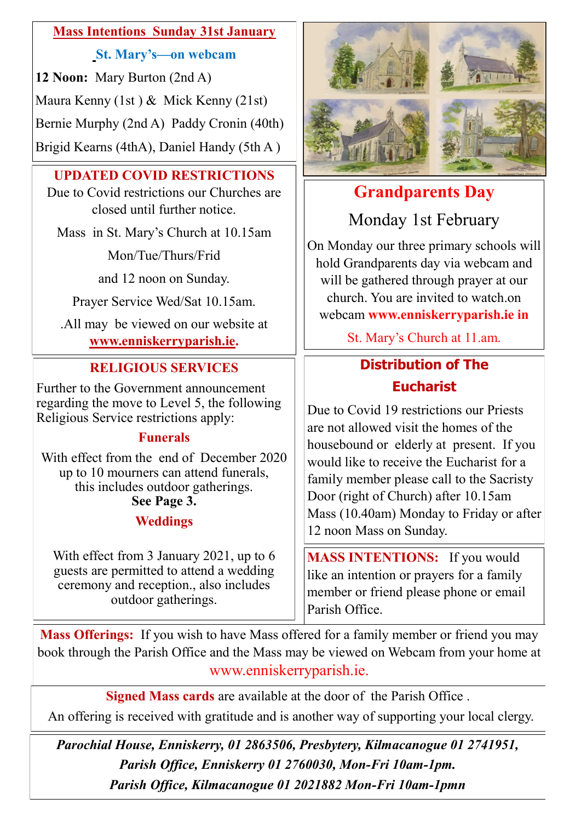# **Mass Intentions Sunday 31st January**

#### **St. Mary's—on webcam**

**12 Noon:** Mary Burton (2nd A) Maura Kenny (1st ) & Mick Kenny (21st) Bernie Murphy (2nd A) Paddy Cronin (40th)

Brigid Kearns (4thA), Daniel Handy (5th A )

# **UPDATED COVID RESTRICTIONS**

Due to Covid restrictions our Churches are closed until further notice.

Mass in St. Mary's Church at 10.15am

Mon/Tue/Thurs/Frid

and 12 noon on Sunday.

Prayer Service Wed/Sat 10.15am.

.All may be viewed on our website at **[www.enniskerryparish.ie.](http://www.enniskerryparish.ie)**

# **RELIGIOUS SERVICES**

Further to the Government announcement regarding the move to Level 5, the following Religious Service restrictions apply:

# **Funerals**

With effect from the end of December 2020 up to 10 mourners can attend funerals, this includes outdoor gatherings. **See Page 3.**

# **Weddings**

With effect from 3 January 2021, up to 6 guests are permitted to attend a wedding ceremony and reception., also includes outdoor gatherings.



# **Grandparents Day**

Monday 1st February

On Monday our three primary schools will hold Grandparents day via webcam and will be gathered through prayer at our church. You are invited to watch.on webcam **www.enniskerryparish.ie in** 

St. Mary's Church at 11.am.

# **Distribution of The Eucharist**

Due to Covid 19 restrictions our Priests are not allowed visit the homes of the housebound or elderly at present. If you would like to receive the Eucharist for a family member please call to the Sacristy Door (right of Church) after 10.15am Mass (10.40am) Monday to Friday or after 12 noon Mass on Sunday.

**MASS INTENTIONS:** If you would like an intention or prayers for a family member or friend please phone or email Parish Office.

**Mass Offerings:** If you wish to have Mass offered for a family member or friend you may book through the Parish Office and the Mass may be viewed on Webcam from your home at www.enniskerryparish.ie.

**Signed Mass cards** are available at the door of the Parish Office .

An offering is received with gratitude and is another way of supporting your local clergy.

*Parochial House, Enniskerry, 01 2863506, Presbytery, Kilmacanogue 01 2741951, Parish Office, Enniskerry 01 2760030, Mon-Fri 10am-1pm. Parish Office, Kilmacanogue 01 2021882 Mon-Fri 10am-1pmn*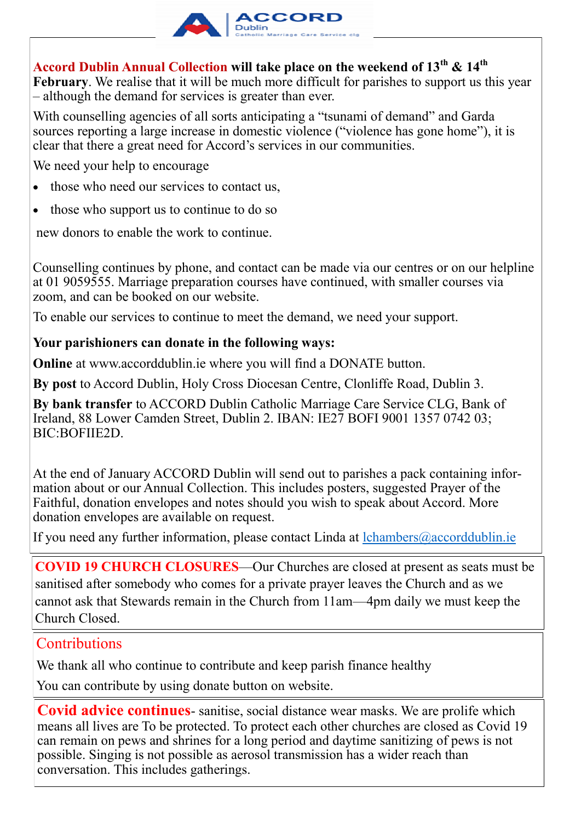

# **Accord Dublin Annual Collection will take place on the weekend of 13th & 14th**

**February**. We realise that it will be much more difficult for parishes to support us this year – although the demand for services is greater than ever.

With counselling agencies of all sorts anticipating a "tsunami of demand" and Garda sources reporting a large increase in domestic violence ("violence has gone home"), it is clear that there a great need for Accord's services in our communities.

We need your help to encourage

- those who need our services to contact us,
- those who support us to continue to do so

new donors to enable the work to continue.

Counselling continues by phone, and contact can be made via our centres or on our helpline at 01 9059555. Marriage preparation courses have continued, with smaller courses via zoom, and can be booked on our website.

To enable our services to continue to meet the demand, we need your support.

#### **Your parishioners can donate in the following ways:**

**Online** at [www.accorddublin.ie w](http://www.accorddublin.ie)here you will find a DONATE button.

**By post** to Accord Dublin, Holy Cross Diocesan Centre, Clonliffe Road, Dublin 3.

**By bank transfer** to ACCORD Dublin Catholic Marriage Care Service CLG, Bank of Ireland, 88 Lower Camden Street, Dublin 2. IBAN: IE27 BOFI 9001 1357 0742 03; BIC:BOFIIE2D.

At the end of January ACCORD Dublin will send out to parishes a pack containing information about or our Annual Collection. This includes posters, suggested Prayer of the Faithful, donation envelopes and notes should you wish to speak about Accord. More donation envelopes are available on request.

If you need any further information, please contact Linda at  $lchambers@accorddublin.ie$ 

**COVID 19 CHURCH CLOSURES**—Our Churches are closed at present as seats must be sanitised after somebody who comes for a private prayer leaves the Church and as we cannot ask that Stewards remain in the Church from 11am—4pm daily we must keep the Church Closed.

# **Contributions**

We thank all who continue to contribute and keep parish finance healthy

You can contribute by using donate button on website.

**Covid advice continues**- sanitise, social distance wear masks. We are prolife which means all lives are To be protected. To protect each other churches are closed as Covid 19 can remain on pews and shrines for a long period and daytime sanitizing of pews is not possible. Singing is not possible as aerosol transmission has a wider reach than conversation. This includes gatherings.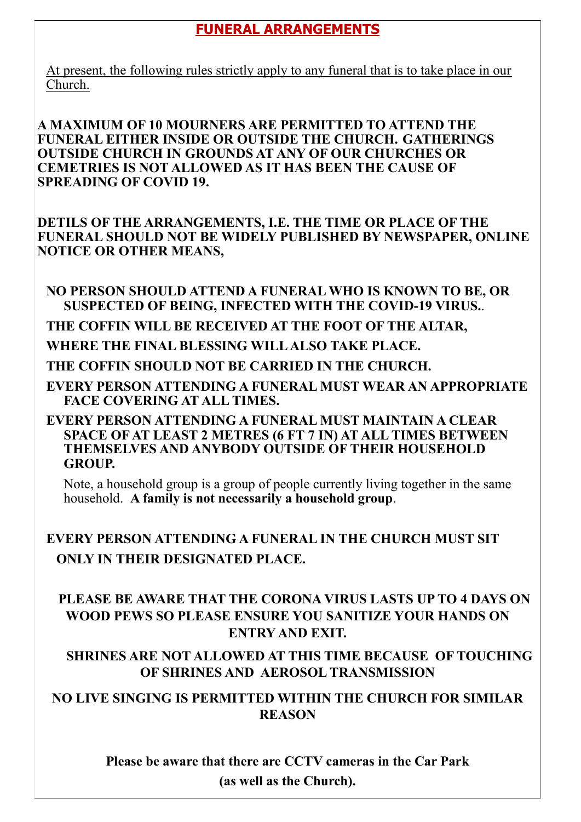# **FUNERAL ARRANGEMENTS**

At present, the following rules strictly apply to any funeral that is to take place in our Church.

**A MAXIMUM OF 10 MOURNERS ARE PERMITTED TO ATTEND THE FUNERAL EITHER INSIDE OR OUTSIDE THE CHURCH. GATHERINGS OUTSIDE CHURCH IN GROUNDS AT ANY OF OUR CHURCHES OR CEMETRIES IS NOT ALLOWED AS IT HAS BEEN THE CAUSE OF SPREADING OF COVID 19.**

**DETILS OF THE ARRANGEMENTS, I.E. THE TIME OR PLACE OF THE FUNERAL SHOULD NOT BE WIDELY PUBLISHED BY NEWSPAPER, ONLINE NOTICE OR OTHER MEANS,** 

**NO PERSON SHOULD ATTEND A FUNERAL WHO IS KNOWN TO BE, OR SUSPECTED OF BEING, INFECTED WITH THE COVID-19 VIRUS.**.

**THE COFFIN WILL BE RECEIVED AT THE FOOT OF THE ALTAR,** 

**WHERE THE FINAL BLESSING WILL ALSO TAKE PLACE.**

**THE COFFIN SHOULD NOT BE CARRIED IN THE CHURCH.**

**EVERY PERSON ATTENDING A FUNERAL MUST WEAR AN APPROPRIATE FACE COVERING AT ALL TIMES.**

**EVERY PERSON ATTENDING A FUNERAL MUST MAINTAIN A CLEAR SPACE OF AT LEAST 2 METRES (6 FT 7 IN) AT ALL TIMES BETWEEN THEMSELVES AND ANYBODY OUTSIDE OF THEIR HOUSEHOLD GROUP.**

Note, a household group is a group of people currently living together in the same household. **A family is not necessarily a household group**.

**EVERY PERSON ATTENDING A FUNERAL IN THE CHURCH MUST SIT ONLY IN THEIR DESIGNATED PLACE.**

 **PLEASE BE AWARE THAT THE CORONA VIRUS LASTS UP TO 4 DAYS ON WOOD PEWS SO PLEASE ENSURE YOU SANITIZE YOUR HANDS ON ENTRY AND EXIT.**

 **SHRINES ARE NOT ALLOWED AT THIS TIME BECAUSE OF TOUCHING OF SHRINES AND AEROSOL TRANSMISSION** 

**NO LIVE SINGING IS PERMITTED WITHIN THE CHURCH FOR SIMILAR REASON**

> **Please be aware that there are CCTV cameras in the Car Park (as well as the Church).**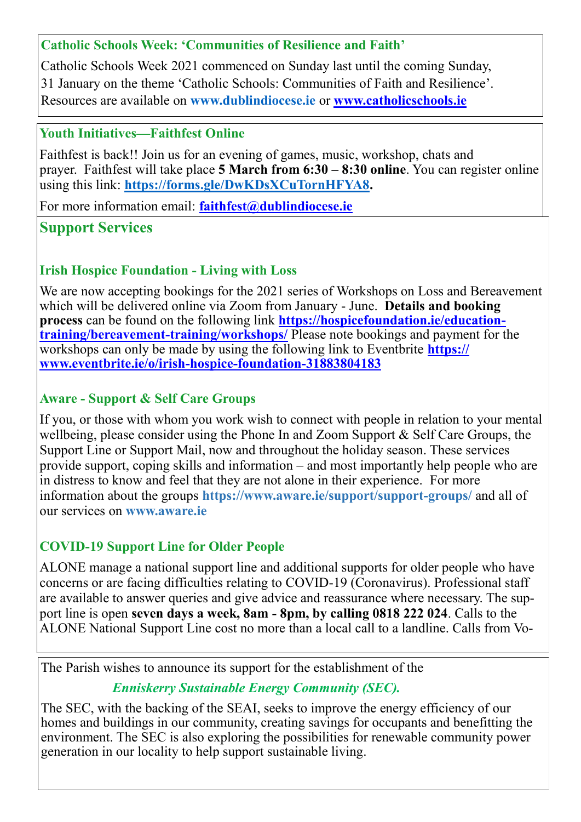#### **Catholic Schools Week: 'Communities of Resilience and Faith'**

Catholic Schools Week 2021 commenced on Sunday last until the coming Sunday, 31 January on the theme 'Catholic Schools: Communities of Faith and Resilience'. Resources are available on **[www.dublindiocese.ie](http://www.dublindiocese.ie)** or **[www.catholicschools.ie](http://www.catholicschools.ie)**

#### **Youth Initiatives—Faithfest Online**

Faithfest is back!! Join us for an evening of games, music, workshop, chats and prayer. Faithfest will take place **5 March from 6:30 – 8:30 online**. You can register online using this link: **[https://forms.gle/DwKDsXCuTornHFYA8.](https://forms.gle/DwKDsXCuTornHFYA8)** 

For more information email: **faithfest**@dublindiocese.ie

# **Support Services**

# **Irish Hospice Foundation - Living with Loss**

We are now accepting bookings for the 2021 series of Workshops on Loss and Bereavement which will be delivered online via Zoom from January - June. **Details and booking process** can be found on the following link **[https://hospicefoundation.ie/education](https://hospicefoundation.ie/education-training/bereavement-training/workshops/)[training/bereavement](https://hospicefoundation.ie/education-training/bereavement-training/workshops/)-training/workshops/** Please note bookings and payment for the workshops can only be made by using the following link to Eventbrite **[https://](https://www.eventbrite.ie/o/irish-hospice-foundation-31883804183) [www.eventbrite.ie/o/irish](https://www.eventbrite.ie/o/irish-hospice-foundation-31883804183)-hospice-foundation-31883804183**

# **Aware - Support & Self Care Groups**

If you, or those with whom you work wish to connect with people in relation to your mental wellbeing, please consider using the Phone In and Zoom Support & Self Care Groups, the Support Line or Support Mail, now and throughout the holiday season. These services provide support, coping skills and information – and most importantly help people who are in distress to know and feel that they are not alone in their experience. For more information about the groups **[https://www.aware.ie/support/support](https://www.aware.ie/support/support-groups/)-groups/** and all of our services on **[www.aware.ie](http://www.aware.ie)**

# **COVID-19 Support Line for Older People**

ALONE manage a national support line and additional supports for older people who have concerns or are facing difficulties relating to COVID-19 (Coronavirus). Professional staff are available to answer queries and give advice and reassurance where necessary. The support line is open **seven days a week, 8am - 8pm, by calling 0818 222 024**. Calls to the ALONE National Support Line cost no more than a local call to a landline. Calls from Vo-

The Parish wishes to announce its support for the establishment of the

# *Enniskerry Sustainable Energy Community (SEC).*

The SEC, with the backing of the SEAI, seeks to improve the energy efficiency of our homes and buildings in our community, creating savings for occupants and benefitting the environment. The SEC is also exploring the possibilities for renewable community power generation in our locality to help support sustainable living.